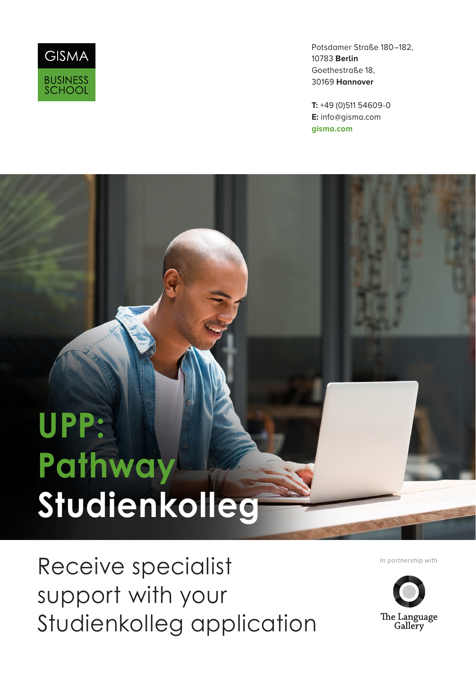

Potsdamer Straße 180–182, 10783 **Berlin** Goethestraße 18, 30169 **Hannover**

**T:** +49 (0)511 54609-0 **E:** info@gisma.com **gisma.com**

# **UPP: Pathway Studienkolleg**

Receive specialist support with your Studienkolleg application

In partnership with